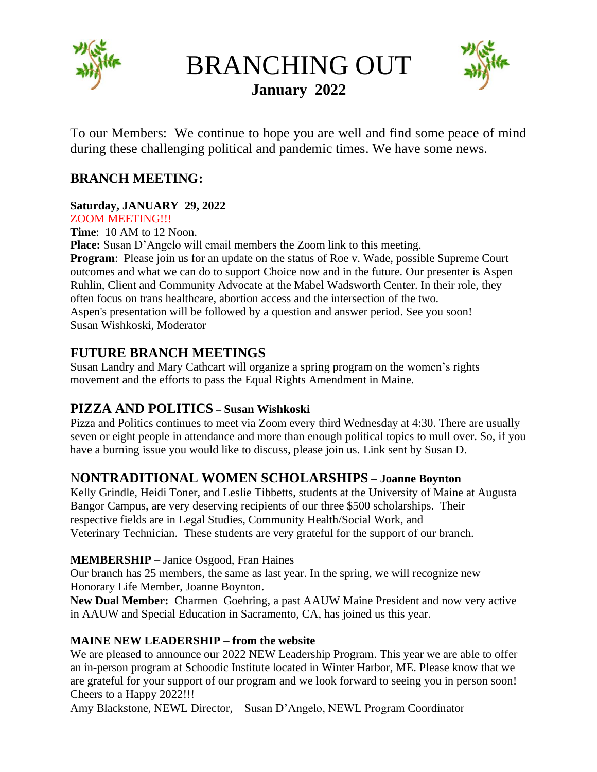

BRANCHING OUT **January 2022**



To our Members: We continue to hope you are well and find some peace of mind during these challenging political and pandemic times. We have some news.

# **BRANCH MEETING:**

## **Saturday, JANUARY 29, 2022**

ZOOM MEETING!!!

**Time**: 10 AM to 12 Noon.

**Place:** Susan D'Angelo will email members the Zoom link to this meeting.

**Program:** Please join us for an update on the status of Roe v. Wade, possible Supreme Court outcomes and what we can do to support Choice now and in the future. Our presenter is Aspen Ruhlin, Client and Community Advocate at the Mabel Wadsworth Center. In their role, they often focus on trans healthcare, abortion access and the intersection of the two. Aspen's presentation will be followed by a question and answer period. See you soon! Susan Wishkoski, Moderator

## **FUTURE BRANCH MEETINGS**

Susan Landry and Mary Cathcart will organize a spring program on the women's rights movement and the efforts to pass the Equal Rights Amendment in Maine.

### **PIZZA AND POLITICS – Susan Wishkoski**

Pizza and Politics continues to meet via Zoom every third Wednesday at 4:30. There are usually seven or eight people in attendance and more than enough political topics to mull over. So, if you have a burning issue you would like to discuss, please join us. Link sent by Susan D.

### N**ONTRADITIONAL WOMEN SCHOLARSHIPS – Joanne Boynton**

Kelly Grindle, Heidi Toner, and Leslie Tibbetts, students at the University of Maine at Augusta Bangor Campus, are very deserving recipients of our three \$500 scholarships. Their respective fields are in Legal Studies, Community Health/Social Work, and Veterinary Technician. These students are very grateful for the support of our branch.

#### **MEMBERSHIP** – Janice Osgood, Fran Haines

Our branch has 25 members, the same as last year. In the spring, we will recognize new Honorary Life Member, Joanne Boynton.

**New Dual Member:** Charmen Goehring, a past AAUW Maine President and now very active in AAUW and Special Education in Sacramento, CA, has joined us this year.

#### **MAINE NEW LEADERSHIP – from the website**

We are pleased to announce our 2022 NEW Leadership Program. This year we are able to offer an in-person program at Schoodic Institute located in Winter Harbor, ME. Please know that we are grateful for your support of our program and we look forward to seeing you in person soon! Cheers to a Happy 2022!!!

Amy Blackstone, NEWL Director, Susan D'Angelo, NEWL Program Coordinator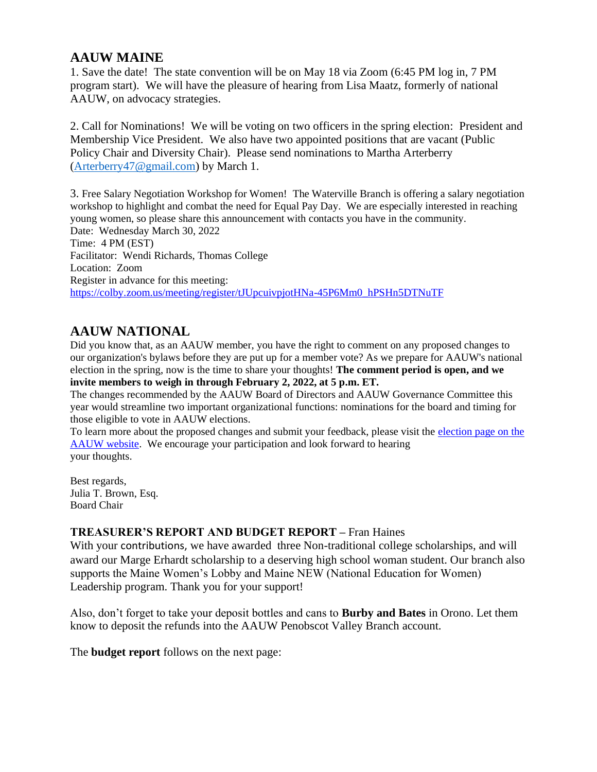### **AAUW MAINE**

1. Save the date! The state convention will be on May 18 via Zoom (6:45 PM log in, 7 PM program start). We will have the pleasure of hearing from Lisa Maatz, formerly of national AAUW, on advocacy strategies.

2. Call for Nominations! We will be voting on two officers in the spring election: President and Membership Vice President. We also have two appointed positions that are vacant (Public Policy Chair and Diversity Chair). Please send nominations to Martha Arterberry [\(Arterberry47@gmail.com\)](mailto:Arterberry47@gmail.com) by March 1.

3. Free Salary Negotiation Workshop for Women! The Waterville Branch is offering a salary negotiation workshop to highlight and combat the need for Equal Pay Day. We are especially interested in reaching young women, so please share this announcement with contacts you have in the community. Date: Wednesday March 30, 2022 Time: 4 PM (EST) Facilitator: Wendi Richards, Thomas College Location: Zoom Register in advance for this meeting: [https://colby.zoom.us/meeting/register/tJUpcuivpjotHNa-45P6Mm0\\_hPSHn5DTNuTF](https://colby.zoom.us/meeting/register/tJUpcuivpjotHNa-45P6Mm0_hPSHn5DTNuTF)

# **AAUW NATIONAL**

Did you know that, as an AAUW member, you have the right to comment on any proposed changes to our organization's bylaws before they are put up for a member vote? As we prepare for AAUW's national election in the spring, now is the time to share your thoughts! **The comment period is open, and we invite members to weigh in through February 2, 2022, at 5 p.m. ET.**

The changes recommended by the AAUW Board of Directors and AAUW Governance Committee this year would streamline two important organizational functions: nominations for the board and timing for those eligible to vote in AAUW elections.

To learn more about the proposed changes and submit your feedback, please visit the [election page](https://click.everyaction.com/k/40797701/325998156/-1079078354?nvep=ew0KICAiVGVuYW50VXJpIjogIm5ncHZhbjovL3Zhbi9FQS9FQTAwNS8xLzc2OTU1IiwNCiAgIkRpc3RyaWJ1dGlvblVuaXF1ZUlkIjogIjMwN2FmZWFmLTc3NzgtZWMxMS05NGY2LWM4OTY2NTBkNDQ0MiIsDQogICJFbWFpbEFkZHJlc3MiOiAiaHJnY2NAYW9sLmNvbSINCn0%253D&hmac=B2Y6zDlDuxPdepTVG1rzNBWsx4XkGp7Be9ZVOpFf_ok=&emci=c749bd44-b374-ec11-94f6-c896650d4442&emdi=307afeaf-7778-ec11-94f6-c896650d4442&ceid=989882) on the [AAUW website.](https://click.everyaction.com/k/40797701/325998156/-1079078354?nvep=ew0KICAiVGVuYW50VXJpIjogIm5ncHZhbjovL3Zhbi9FQS9FQTAwNS8xLzc2OTU1IiwNCiAgIkRpc3RyaWJ1dGlvblVuaXF1ZUlkIjogIjMwN2FmZWFmLTc3NzgtZWMxMS05NGY2LWM4OTY2NTBkNDQ0MiIsDQogICJFbWFpbEFkZHJlc3MiOiAiaHJnY2NAYW9sLmNvbSINCn0%253D&hmac=B2Y6zDlDuxPdepTVG1rzNBWsx4XkGp7Be9ZVOpFf_ok=&emci=c749bd44-b374-ec11-94f6-c896650d4442&emdi=307afeaf-7778-ec11-94f6-c896650d4442&ceid=989882) We encourage your participation and look forward to hearing your thoughts.

Best regards, Julia T. Brown, Esq. Board Chair

#### **TREASURER'S REPORT AND BUDGET REPORT –** Fran Haines

With your contributions, we have awarded three Non-traditional college scholarships, and will award our Marge Erhardt scholarship to a deserving high school woman student. Our branch also supports the Maine Women's Lobby and Maine NEW (National Education for Women) Leadership program. Thank you for your support!

Also, don't forget to take your deposit bottles and cans to **Burby and Bates** in Orono. Let them know to deposit the refunds into the AAUW Penobscot Valley Branch account.

The **budget report** follows on the next page: